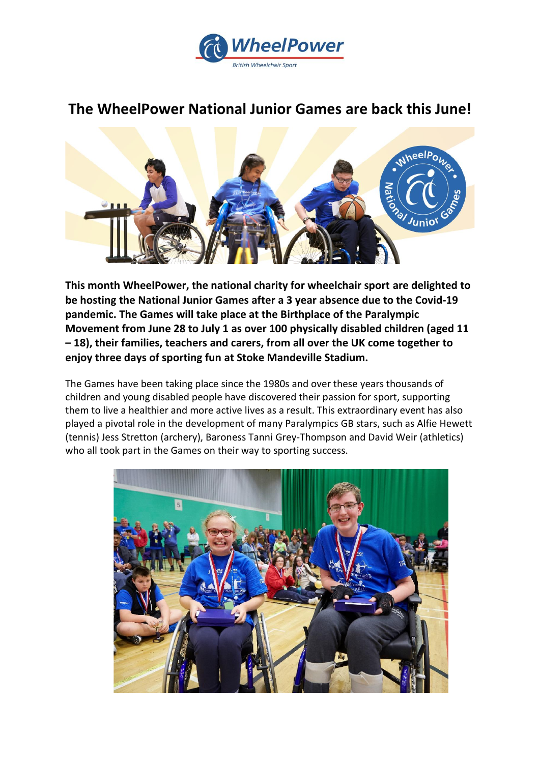

# **The WheelPower National Junior Games are back this June!**



**This month WheelPower, the national charity for wheelchair sport are delighted to be hosting the National Junior Games after a 3 year absence due to the Covid-19 pandemic. The Games will take place at the Birthplace of the Paralympic Movement from June 28 to July 1 as over 100 physically disabled children (aged 11 – 18), their families, teachers and carers, from all over the UK come together to enjoy three days of sporting fun at Stoke Mandeville Stadium.** 

The Games have been taking place since the 1980s and over these years thousands of children and young disabled people have discovered their passion for sport, supporting them to live a healthier and more active lives as a result. This extraordinary event has also played a pivotal role in the development of many Paralympics GB stars, such as Alfie Hewett (tennis) Jess Stretton (archery), Baroness Tanni Grey-Thompson and David Weir (athletics) who all took part in the Games on their way to sporting success.

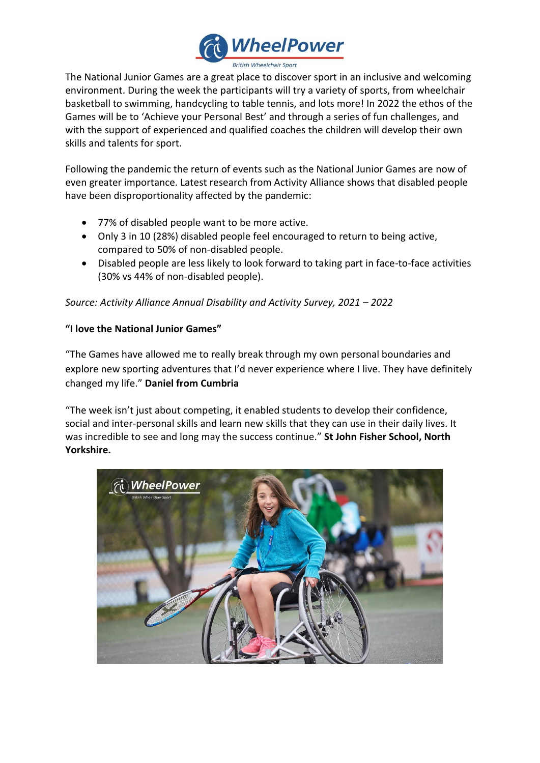

The National Junior Games are a great place to discover sport in an inclusive and welcoming environment. During the week the participants will try a variety of sports, from wheelchair basketball to swimming, handcycling to table tennis, and lots more! In 2022 the ethos of the Games will be to 'Achieve your Personal Best' and through a series of fun challenges, and with the support of experienced and qualified coaches the children will develop their own skills and talents for sport.

Following the pandemic the return of events such as the National Junior Games are now of even greater importance. Latest research from Activity Alliance shows that disabled people have been disproportionality affected by the pandemic:

- 77% of disabled people want to be more active.
- Only 3 in 10 (28%) disabled people feel encouraged to return to being active, compared to 50% of non-disabled people.
- Disabled people are less likely to look forward to taking part in face-to-face activities (30% vs 44% of non-disabled people).

*Source: Activity Alliance Annual Disability and Activity Survey, 2021 – 2022*

## **"I love the National Junior Games"**

"The Games have allowed me to really break through my own personal boundaries and explore new sporting adventures that I'd never experience where I live. They have definitely changed my life." **Daniel from Cumbria**

"The week isn't just about competing, it enabled students to develop their confidence, social and inter-personal skills and learn new skills that they can use in their daily lives. It was incredible to see and long may the success continue." **St John Fisher School, North Yorkshire.**